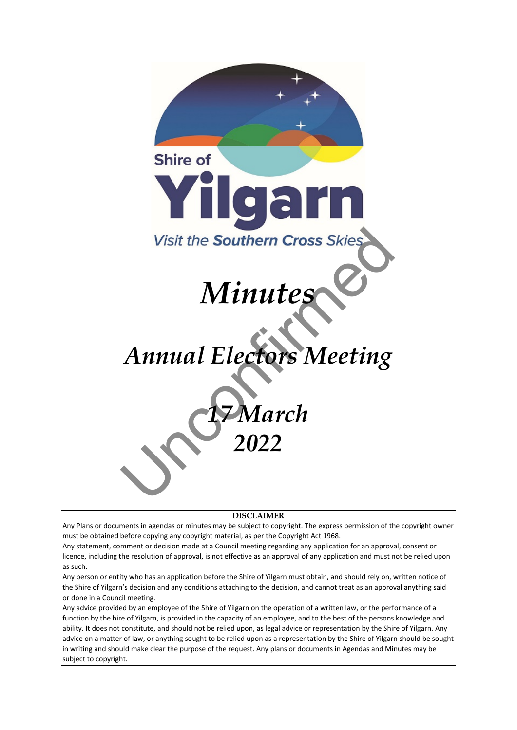

**DISCLAIMER**

Any Plans or documents in agendas or minutes may be subject to copyright. The express permission of the copyright owner must be obtained before copying any copyright material, as per the Copyright Act 1968.

Any statement, comment or decision made at a Council meeting regarding any application for an approval, consent or licence, including the resolution of approval, is not effective as an approval of any application and must not be relied upon as such.

Any person or entity who has an application before the Shire of Yilgarn must obtain, and should rely on, written notice of the Shire of Yilgarn's decision and any conditions attaching to the decision, and cannot treat as an approval anything said or done in a Council meeting.

Any advice provided by an employee of the Shire of Yilgarn on the operation of a written law, or the performance of a function by the hire of Yilgarn, is provided in the capacity of an employee, and to the best of the persons knowledge and ability. It does not constitute, and should not be relied upon, as legal advice or representation by the Shire of Yilgarn. Any advice on a matter of law, or anything sought to be relied upon as a representation by the Shire of Yilgarn should be sought in writing and should make clear the purpose of the request. Any plans or documents in Agendas and Minutes may be subject to copyright.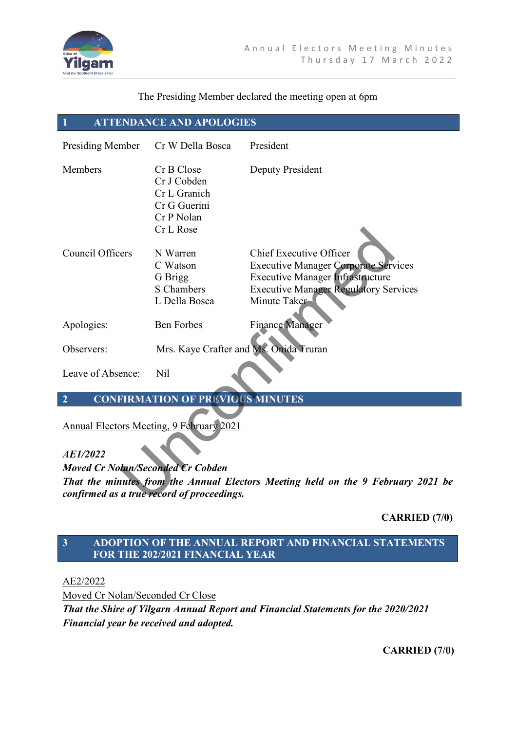

#### The Presiding Member declared the meeting open at 6pm

# **1 ATTENDANCE AND APOLOGIES**

| Presiding Member                                                                                                               | Cr W Della Bosca                                                                     | President                                    |
|--------------------------------------------------------------------------------------------------------------------------------|--------------------------------------------------------------------------------------|----------------------------------------------|
| Members                                                                                                                        | Cr B Close<br>Cr J Cobden<br>Cr L Granich<br>Cr G Guerini<br>Cr P Nolan<br>Cr L Rose | Deputy President                             |
| Council Officers                                                                                                               | N Warren                                                                             | Chief Executive Officer                      |
|                                                                                                                                | C Watson                                                                             | <b>Executive Manager Corporate Services</b>  |
|                                                                                                                                | G Brigg                                                                              | <b>Executive Manager Infrastructure</b>      |
|                                                                                                                                | S Chambers                                                                           | <b>Executive Manager Regulatory Services</b> |
|                                                                                                                                | L Della Bosca                                                                        | Minute Taker                                 |
| Apologies:                                                                                                                     | <b>Ben Forbes</b>                                                                    | <b>Finance Manager</b>                       |
| Observers:                                                                                                                     | Mrs. Kaye Crafter and Ms. Onida Truran                                               |                                              |
| Leave of Absence:                                                                                                              | <b>Nil</b>                                                                           |                                              |
| <b>CONFIRMATION OF PREVIOUS MINUTES</b><br>$\overline{2}$                                                                      |                                                                                      |                                              |
| <b>Annual Electors Meeting, 9 February 2021</b>                                                                                |                                                                                      |                                              |
| AE1/2022                                                                                                                       |                                                                                      |                                              |
| <b>Moved Cr Nolan/Seconded Cr Cobden</b>                                                                                       |                                                                                      |                                              |
| That the minutes from the Annual Electors Meeting held on the 9 February 2021 be<br>confirmed as a true record of proceedings. |                                                                                      |                                              |

# **CARRIED (7/0)**

# **3 ADOPTION OF THE ANNUAL REPORT AND FINANCIAL STATEMENTS FOR THE 202/2021 FINANCIAL YEAR**

AE2/2022

Moved Cr Nolan/Seconded Cr Close

*That the Shire of Yilgarn Annual Report and Financial Statements for the 2020/2021 Financial year be received and adopted.* 

**CARRIED (7/0)**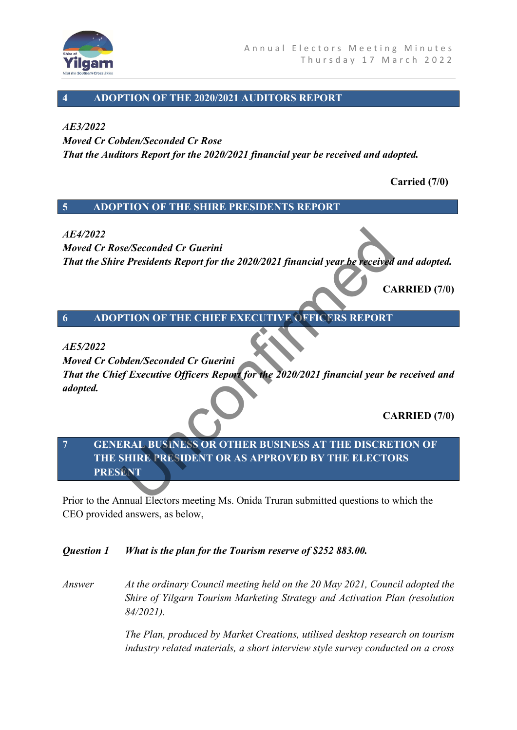

## **4 ADOPTION OF THE 2020/2021 AUDITORS REPORT**

#### *AE3/2022*

*Moved Cr Cobden/Seconded Cr Rose That the Auditors Report for the 2020/2021 financial year be received and adopted.* 

 **Carried (7/0)**

## **5 ADOPTION OF THE SHIRE PRESIDENTS REPORT**

## *AE4/2022*

*Moved Cr Rose/Seconded Cr Guerini That the Shire Presidents Report for the 2020/2021 financial year be received and adopted.* 

**CARRIED (7/0)**

**6 ADOPTION OF THE CHIEF EXECUTIVE OFFICERS REPORT**

#### *AE5/2022*

*Moved Cr Cobden/Seconded Cr Guerini That the Chief Executive Officers Report for the 2020/2021 financial year be received and adopted.*  Se/Seconded Cr Guerini<br>
e Presidents Report for the 2020/2021 financial year be received<br>
CA<br>
PTION OF THE CHIEF EXECUTIVE OFFICERS REPORT<br>
bden/Seconded Cr Guerini<br>
of Executive Officers Report for the 2020/2021 financial

**CARRIED (7/0)**

# **7 GENERAL BUSINESS OR OTHER BUSINESS AT THE DISCRETION OF THE SHIRE PRESIDENT OR AS APPROVED BY THE ELECTORS PRESENT**

Prior to the Annual Electors meeting Ms. Onida Truran submitted questions to which the CEO provided answers, as below,

#### *Question 1 What is the plan for the Tourism reserve of \$252 883.00.*

*Answer At the ordinary Council meeting held on the 20 May 2021, Council adopted the Shire of Yilgarn Tourism Marketing Strategy and Activation Plan (resolution 84/2021).* 

> *The Plan, produced by Market Creations, utilised desktop research on tourism industry related materials, a short interview style survey conducted on a cross*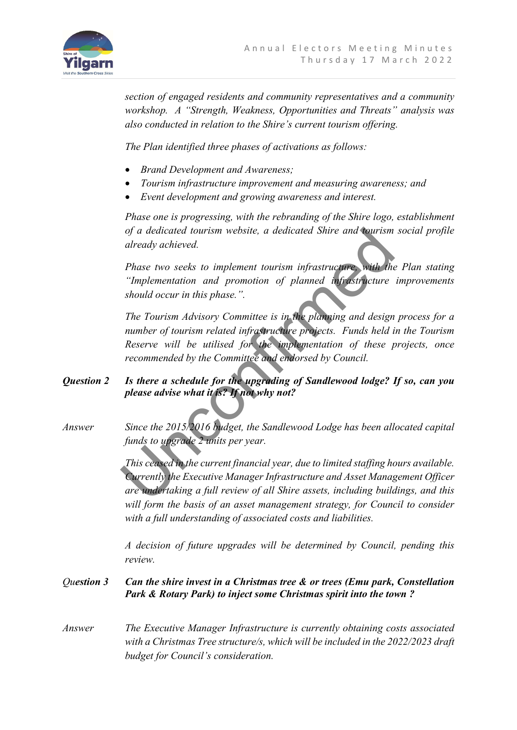

*section of engaged residents and community representatives and a community workshop. A "Strength, Weakness, Opportunities and Threats" analysis was also conducted in relation to the Shire's current tourism offering.* 

*The Plan identified three phases of activations as follows:* 

- *Brand Development and Awareness;*
- *Tourism infrastructure improvement and measuring awareness; and*
- *Event development and growing awareness and interest.*

*Phase one is progressing, with the rebranding of the Shire logo, establishment of a dedicated tourism website, a dedicated Shire and tourism social profile already achieved.* 

*Phase two seeks to implement tourism infrastructure, with the Plan stating "Implementation and promotion of planned infrastructure improvements should occur in this phase.".* 

*The Tourism Advisory Committee is in the planning and design process for a number of tourism related infrastructure projects. Funds held in the Tourism Reserve will be utilised for the implementation of these projects, once recommended by the Committee and endorsed by Council.*  of a dedicated tourism website, a dedicated Shire and tourism<br>already achieved.<br>
Phase two seeks to implement tourism infrastructure<br>
"Implementation and promotion of planned infrastructure<br>
should occur in this phase.".<br>

## *Question 2 Is there a schedule for the upgrading of Sandlewood lodge? If so, can you please advise what it is? If not why not?*

*Answer Since the 2015/2016 budget, the Sandlewood Lodge has been allocated capital funds to upgrade 2 units per year.* 

> *This ceased in the current financial year, due to limited staffing hours available. Currently the Executive Manager Infrastructure and Asset Management Officer are undertaking a full review of all Shire assets, including buildings, and this*  will form the basis of an asset management strategy, for Council to consider *with a full understanding of associated costs and liabilities.*

> *A decision of future upgrades will be determined by Council, pending this review.*

## *Question 3 Can the shire invest in a Christmas tree & or trees (Emu park, Constellation Park & Rotary Park) to inject some Christmas spirit into the town ?*

*Answer The Executive Manager Infrastructure is currently obtaining costs associated with a Christmas Tree structure/s, which will be included in the 2022/2023 draft budget for Council's consideration.*